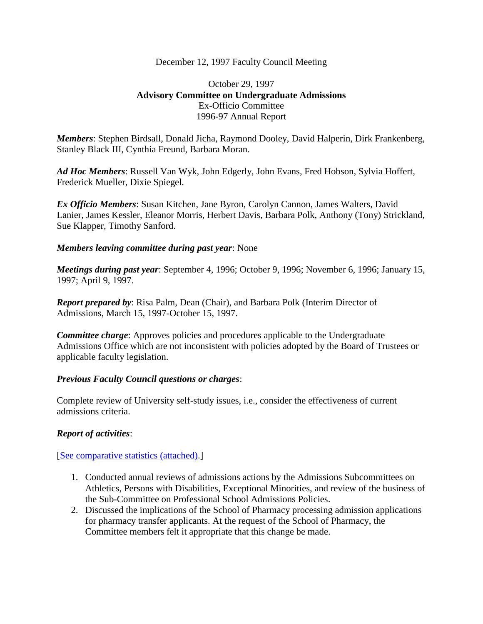### December 12, 1997 Faculty Council Meeting

# October 29, 1997 **Advisory Committee on Undergraduate Admissions** Ex-Officio Committee 1996-97 Annual Report

*Members*: Stephen Birdsall, Donald Jicha, Raymond Dooley, David Halperin, Dirk Frankenberg, Stanley Black III, Cynthia Freund, Barbara Moran.

*Ad Hoc Members*: Russell Van Wyk, John Edgerly, John Evans, Fred Hobson, Sylvia Hoffert, Frederick Mueller, Dixie Spiegel.

*Ex Officio Members*: Susan Kitchen, Jane Byron, Carolyn Cannon, James Walters, David Lanier, James Kessler, Eleanor Morris, Herbert Davis, Barbara Polk, Anthony (Tony) Strickland, Sue Klapper, Timothy Sanford.

## *Members leaving committee during past year*: None

*Meetings during past year*: September 4, 1996; October 9, 1996; November 6, 1996; January 15, 1997; April 9, 1997.

*Report prepared by*: Risa Palm, Dean (Chair), and Barbara Polk (Interim Director of Admissions, March 15, 1997-October 15, 1997.

*Committee charge*: Approves policies and procedures applicable to the Undergraduate Admissions Office which are not inconsistent with policies adopted by the Board of Trustees or applicable faculty legislation.

### *Previous Faculty Council questions or charges*:

Complete review of University self-study issues, i.e., consider the effectiveness of current admissions criteria.

# *Report of activities*:

### [\[See comparative statistics \(attached\).](http://www.unc.edu/faculty/faccoun/reports/1997-98/R97ADM1.pdf)]

- 1. Conducted annual reviews of admissions actions by the Admissions Subcommittees on Athletics, Persons with Disabilities, Exceptional Minorities, and review of the business of the Sub-Committee on Professional School Admissions Policies.
- 2. Discussed the implications of the School of Pharmacy processing admission applications for pharmacy transfer applicants. At the request of the School of Pharmacy, the Committee members felt it appropriate that this change be made.